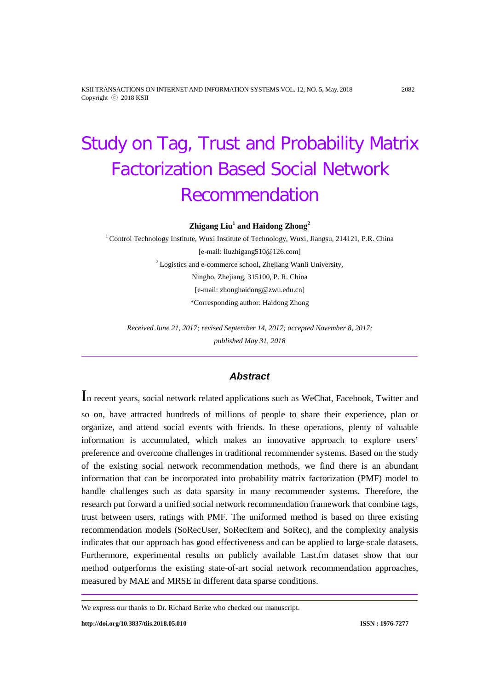KSII TRANSACTIONS ON INTERNET AND INFORMATION SYSTEMS VOL. 12, NO. 5, May. 2018 2082 Copyright ⓒ 2018 KSII

# Study on Tag, Trust and Probability Matrix Factorization Based Social Network Recommendation

**Zhigang Liu1 and Haidong Zhong<sup>2</sup>**

<sup>1</sup> Control Technology Institute, Wuxi Institute of Technology, Wuxi, Jiangsu, 214121, P.R. China [e-mail: liuzhigang510@126.com] <sup>2</sup> Logistics and e-commerce school, Zhejiang Wanli University, Ningbo, Zhejiang, 315100, P. R. China [e-mail: zhonghaidong@zwu.edu.cn] \*Corresponding author: Haidong Zhong

*Received June 21, 2017; revised September 14, 2017; accepted November 8, 2017; published May 31, 2018*

# *Abstract*

In recent years, social network related applications such as WeChat, Facebook, Twitter and so on, have attracted hundreds of millions of people to share their experience, plan or organize, and attend social events with friends. In these operations, plenty of valuable information is accumulated, which makes an innovative approach to explore users' preference and overcome challenges in traditional recommender systems. Based on the study of the existing social network recommendation methods, we find there is an abundant information that can be incorporated into probability matrix factorization (PMF) model to handle challenges such as data sparsity in many recommender systems. Therefore, the research put forward a unified social network recommendation framework that combine tags, trust between users, ratings with PMF. The uniformed method is based on three existing recommendation models (SoRecUser, SoRecItem and SoRec), and the complexity analysis indicates that our approach has good effectiveness and can be applied to large-scale datasets. Furthermore, experimental results on publicly available Last.fm dataset show that our method outperforms the existing state-of-art social network recommendation approaches, measured by MAE and MRSE in different data sparse conditions.

We express our thanks to Dr. Richard Berke who checked our manuscript.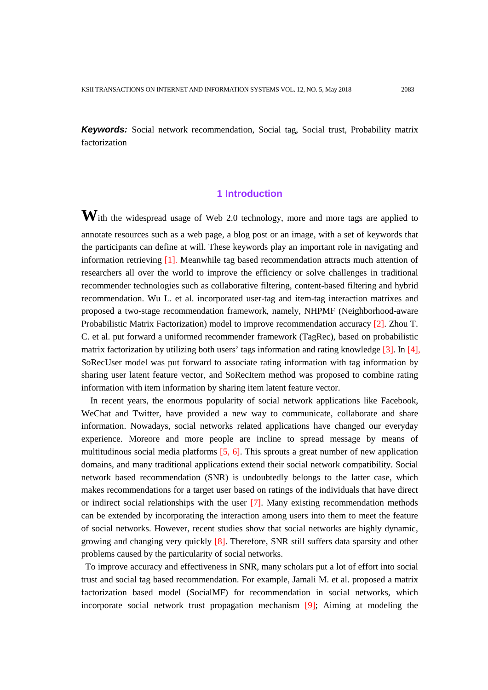**Keywords:** Social network recommendation, Social tag, Social trust, Probability matrix factorization

# **1 Introduction**

**W**ith the widespread usage of Web 2.0 technology, more and more tags are applied to annotate resources such as a web page, a blog post or an image, with a set of keywords that the participants can define at will. These keywords play an important role in navigating and information retrieving [1]. Meanwhile tag based recommendation attracts much attention of researchers all over the world to improve the efficiency or solve challenges in traditional recommender technologies such as collaborative filtering, content-based filtering and hybrid recommendation. Wu L. et al. incorporated user-tag and item-tag interaction matrixes and proposed a two-stage recommendation framework, namely, NHPMF (Neighborhood-aware Probabilistic Matrix Factorization) model to improve recommendation accuracy [2]. Zhou T. C. et al. put forward a uniformed recommender framework (TagRec), based on probabilistic matrix factorization by utilizing both users' tags information and rating knowledge [3]. In [4], SoRecUser model was put forward to associate rating information with tag information by sharing user latent feature vector, and SoRecItem method was proposed to combine rating information with item information by sharing item latent feature vector.

In recent years, the enormous popularity of social network applications like Facebook, WeChat and Twitter, have provided a new way to communicate, collaborate and share information. Nowadays, social networks related applications have changed our everyday experience. Moreore and more people are incline to spread message by means of multitudinous social media platforms [5, 6]. This sprouts a great number of new application domains, and many traditional applications extend their social network compatibility. Social network based recommendation (SNR) is undoubtedly belongs to the latter case, which makes recommendations for a target user based on ratings of the individuals that have direct or indirect social relationships with the user [7]. Many existing recommendation methods can be extended by incorporating the interaction among users into them to meet the feature of social networks. However, recent studies show that social networks are highly dynamic, growing and changing very quickly [8]. Therefore, SNR still suffers data sparsity and other problems caused by the particularity of social networks.

To improve accuracy and effectiveness in SNR, many scholars put a lot of effort into social trust and social tag based recommendation. For example, Jamali M. et al. proposed a matrix factorization based model (SocialMF) for recommendation in social networks, which incorporate social network trust propagation mechanism [9]; Aiming at modeling the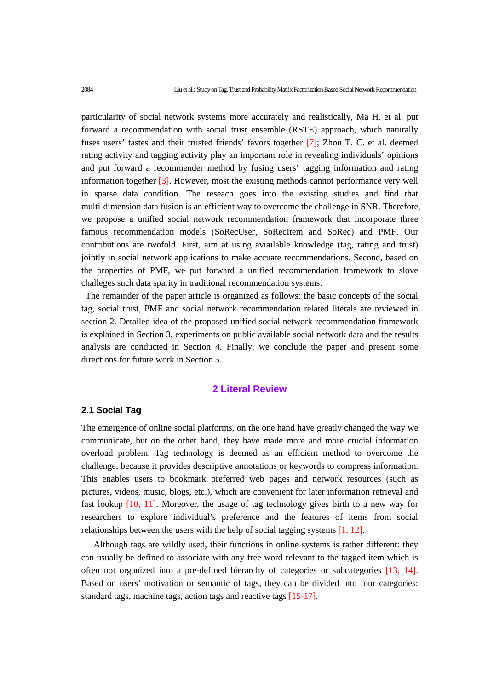particularity of social network systems more accurately and realistically, Ma H. et al. put forward a recommendation with social trust ensemble (RSTE) approach, which naturally fuses users' tastes and their trusted friends' favors together [7]; Zhou T. C. et al. deemed rating activity and tagging activity play an important role in revealing individuals' opinions and put forward a recommender method by fusing users' tagging information and rating information together [3]. However, most the existing methods cannot performance very well in sparse data condition. The reseach goes into the existing studies and find that multi-dimension data fusion is an efficient way to overcome the challenge in SNR. Therefore, we propose a unified social network recommendation framework that incorporate three famous recommendation models (SoRecUser, SoRecItem and SoRec) and PMF. Our contributions are twofold. First, aim at using aviailable knowledge (tag, rating and trust) jointly in social network applications to make accuate recommendations. Second, based on the properties of PMF, we put forward a unified recommendation framework to slove challeges such data sparity in traditional recommendation systems.

The remainder of the paper article is organized as follows: the basic concepts of the social tag, social trust, PMF and social network recommendation related literals are reviewed in section 2. Detailed idea of the proposed unified social network recommendation framework is explained in Section 3, experiments on public available social network data and the results analysis are conducted in Section 4. Finally, we conclude the paper and present some directions for future work in Section 5.

#### **2 Literal Review**

## **2.1 Social Tag**

The emergence of online social platforms, on the one hand have greatly changed the way we communicate, but on the other hand, they have made more and more crucial information overload problem. Tag technology is deemed as an efficient method to overcome the challenge, because it provides descriptive annotations or keywords to compress information. This enables users to bookmark preferred web pages and network resources (such as pictures, videos, music, blogs, etc.), which are convenient for later information retrieval and fast lookup [10, 11]. Moreover, the usage of tag technology gives birth to a new way for researchers to explore individual's preference and the features of items from social relationships between the users with the help of social tagging systems [1, 12].

Although tags are wildly used, their functions in online systems is rather different: they can usually be defined to associate with any free word relevant to the tagged item which is often not organized into a pre-defined hierarchy of categories or subcategories [13, 14]. Based on users' motivation or semantic of tags, they can be divided into four categories: standard tags, machine tags, action tags and reactive tags [15-17].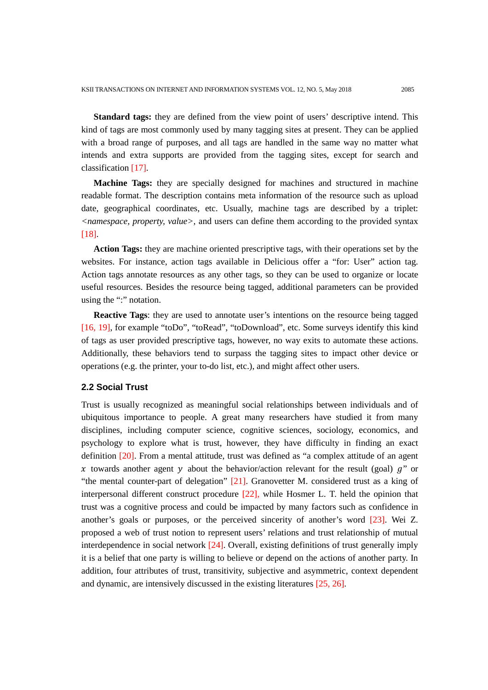**Standard tags:** they are defined from the view point of users' descriptive intend. This kind of tags are most commonly used by many tagging sites at present. They can be applied with a broad range of purposes, and all tags are handled in the same way no matter what intends and extra supports are provided from the tagging sites, except for search and classification [17].

**Machine Tags:** they are specially designed for machines and structured in machine readable format. The description contains meta information of the resource such as upload date, geographical coordinates, etc. Usually, machine tags are described by a triplet: *<namespace, property, value>*, and users can define them according to the provided syntax [18].

**Action Tags:** they are machine oriented prescriptive tags, with their operations set by the websites. For instance, action tags available in Delicious offer a "for: User" action tag. Action tags annotate resources as any other tags, so they can be used to organize or locate useful resources. Besides the resource being tagged, additional parameters can be provided using the ":" notation.

**Reactive Tags**: they are used to annotate user's intentions on the resource being tagged [16, 19], for example "toDo", "toRead", "toDownload", etc. Some surveys identify this kind of tags as user provided prescriptive tags, however, no way exits to automate these actions. Additionally, these behaviors tend to surpass the tagging sites to impact other device or operations (e.g. the printer, your to-do list, etc.), and might affect other users.

#### **2.2 Social Trust**

Trust is usually recognized as meaningful social relationships between individuals and of ubiquitous importance to people. A great many researchers have studied it from many disciplines, including computer science, cognitive sciences, sociology, economics, and psychology to explore what is trust, however, they have difficulty in finding an exact definition [20]. From a mental attitude, trust was defined as "a complex attitude of an agent x towards another agent y about the behavior/action relevant for the result (goal)  $q''$  or "the mental counter-part of delegation" [21]. Granovetter M. considered trust as a king of interpersonal different construct procedure [22], while Hosmer L. T. held the opinion that trust was a cognitive process and could be impacted by many factors such as confidence in another's goals or purposes, or the perceived sincerity of another's word [23]. Wei Z. proposed a web of trust notion to represent users' relations and trust relationship of mutual interdependence in social network [24]. Overall, existing definitions of trust generally imply it is a belief that one party is willing to believe or depend on the actions of another party. In addition, four attributes of trust, transitivity, subjective and asymmetric, context dependent and dynamic, are intensively discussed in the existing literatures [25, 26].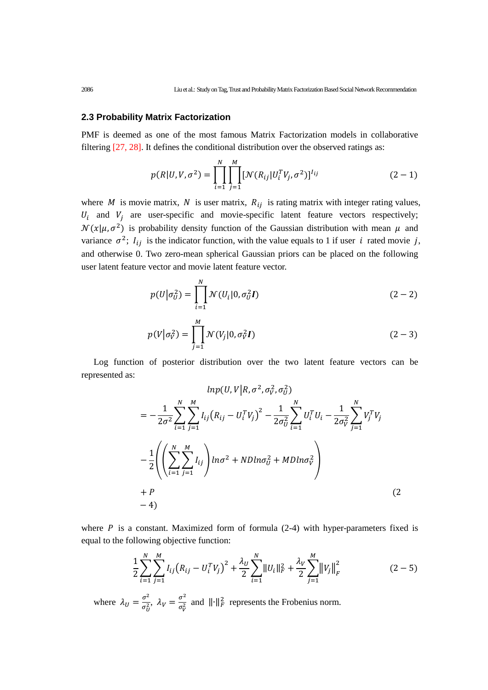#### **2.3 Probability Matrix Factorization**

PMF is deemed as one of the most famous Matrix Factorization models in collaborative filtering [27, 28]. It defines the conditional distribution over the observed ratings as:

$$
p(R|U, V, \sigma^2) = \prod_{i=1}^{N} \prod_{j=1}^{M} [\mathcal{N}(R_{ij}|U_i^T V_j, \sigma^2)]^{I_{ij}}
$$
 (2-1)

where *M* is movie matrix, *N* is user matrix,  $R_{ij}$  is rating matrix with integer rating values,  $U_i$  and  $V_j$  are user-specific and movie-specific latent feature vectors respectively;  $\mathcal{N}(x|\mu, \sigma^2)$  is probability density function of the Gaussian distribution with mean  $\mu$  and variance  $\sigma^2$ ;  $I_{ij}$  is the indicator function, with the value equals to 1 if user *i* rated movie *j*, and otherwise 0. Two zero-mean spherical Gaussian priors can be placed on the following user latent feature vector and movie latent feature vector.

$$
p(U|\sigma_U^2) = \prod_{i=1}^N \mathcal{N}(U_i|0, \sigma_U^2 I)
$$
 (2-2)

$$
p(V|\sigma_V^2) = \prod_{j=1}^M \mathcal{N}(V_j|0, \sigma_V^2 I)
$$
 (2-3)

Log function of posterior distribution over the two latent feature vectors can be represented as:

$$
lnp(U, V | R, \sigma^2, \sigma_V^2, \sigma_U^2)
$$
  
=  $-\frac{1}{2\sigma^2} \sum_{i=1}^N \sum_{j=1}^M I_{ij} (R_{ij} - U_i^T V_j)^2 - \frac{1}{2\sigma_U^2} \sum_{i=1}^N U_i^T U_i - \frac{1}{2\sigma_V^2} \sum_{j=1}^N V_j^T V_j$   
 $-\frac{1}{2} \left( \left( \sum_{i=1}^N \sum_{j=1}^M I_{ij} \right) ln\sigma^2 + N D ln\sigma_U^2 + M D ln\sigma_V^2 \right)$   
+  $P$   
- 4) (2

where  $P$  is a constant. Maximized form of formula (2-4) with hyper-parameters fixed is equal to the following objective function:

$$
\frac{1}{2}\sum_{i=1}^{N}\sum_{j=1}^{M}I_{ij}(R_{ij}-U_{i}^{T}V_{j})^{2}+\frac{\lambda_{U}}{2}\sum_{i=1}^{N}\|U_{i}\|_{F}^{2}+\frac{\lambda_{V}}{2}\sum_{j=1}^{M}\|V_{j}\|_{F}^{2}
$$
(2-5)

where  $\lambda_U = \frac{\sigma^2}{\sigma_U^2}$ ,  $\lambda_V = \frac{\sigma^2}{\sigma_V^2}$  and  $||\cdot||_F^2$  represents the Frobenius norm.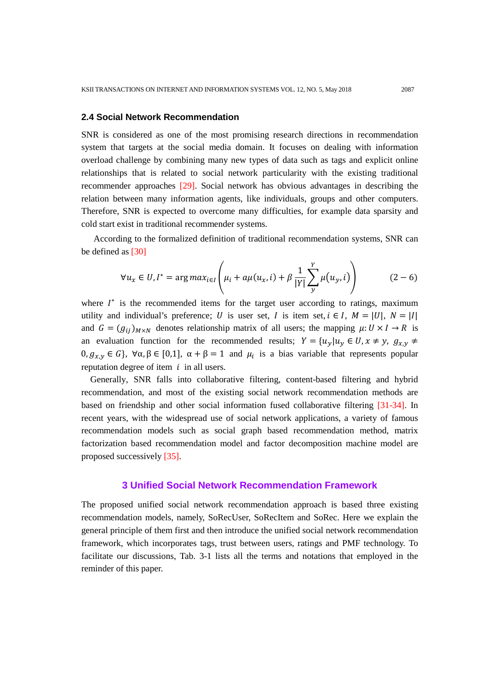#### **2.4 Social Network Recommendation**

SNR is considered as one of the most promising research directions in recommendation system that targets at the social media domain. It focuses on dealing with information overload challenge by combining many new types of data such as tags and explicit online relationships that is related to social network particularity with the existing traditional recommender approaches [29]. Social network has obvious advantages in describing the relation between many information agents, like individuals, groups and other computers. Therefore, SNR is expected to overcome many difficulties, for example data sparsity and cold start exist in traditional recommender systems.

According to the formalized definition of traditional recommendation systems, SNR can be defined as [30]

$$
\forall u_x \in U, I^* = \arg max_{i \in I} \left( \mu_i + a\mu(u_x, i) + \beta \frac{1}{|Y|} \sum_{y}^{Y} \mu(u_y, i) \right) \tag{2-6}
$$

where  $I^*$  is the recommended items for the target user according to ratings, maximum utility and individual's preference; U is user set, I is item set,  $i \in I$ ,  $M = |U|$ ,  $N = |I|$ and  $G = (g_{ij})_{M \times N}$  denotes relationship matrix of all users; the mapping  $\mu: U \times I \rightarrow R$  is an evaluation function for the recommended results;  $Y = \{u_y | u_y \in U, x \neq y, g_{xy} \neq z\}$  $0, g_{xx} \in G$ ,  $\forall \alpha, \beta \in [0,1], \alpha + \beta = 1$  and  $\mu_i$  is a bias variable that represents popular reputation degree of item  $i$  in all users.

Generally, SNR falls into collaborative filtering, content-based filtering and hybrid recommendation, and most of the existing social network recommendation methods are based on friendship and other social information fused collaborative filtering [31-34]. In recent years, with the widespread use of social network applications, a variety of famous recommendation models such as social graph based recommendation method, matrix factorization based recommendation model and factor decomposition machine model are proposed successively [35].

#### **3 Unified Social Network Recommendation Framework**

The proposed unified social network recommendation approach is based three existing recommendation models, namely, SoRecUser, SoRecItem and SoRec. Here we explain the general principle of them first and then introduce the unified social network recommendation framework, which incorporates tags, trust between users, ratings and PMF technology. To facilitate our discussions, Tab. 3-1 lists all the terms and notations that employed in the reminder of this paper.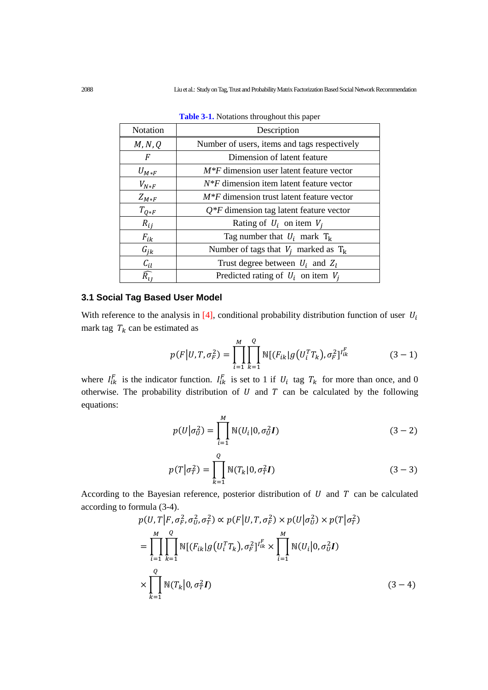| <b>Notation</b>    | Description                                  |
|--------------------|----------------------------------------------|
| M, N, Q            | Number of users, items and tags respectively |
| F                  | Dimension of latent feature                  |
| $U_{M*F}$          | $M*F$ dimension user latent feature vector   |
| $V_{N*F}$          | $N^*F$ dimension item latent feature vector  |
| $Z_{M*F}$          | $M^*F$ dimension trust latent feature vector |
| $T_{Q*F}$          | $Q^*F$ dimension tag latent feature vector   |
| $R_{ij}$           | Rating of $U_i$ on item $V_i$                |
| $F_{ik}$           | Tag number that $U_i$ mark $T_k$             |
| $G_{ik}$           | Number of tags that $V_i$ marked as $T_k$    |
| $c_{il}$           | Trust degree between $U_i$ and $Z_i$         |
| $\widehat{R_{11}}$ | Predicted rating of $U_i$ on item $V_i$      |

**Table 3-1.** Notations throughout this paper

## **3.1 Social Tag Based User Model**

With reference to the analysis in  $[4]$ , conditional probability distribution function of user  $U_i$ mark tag  $T_k$  can be estimated as

$$
p(F|U, T, \sigma_F^2) = \prod_{i=1}^M \prod_{k=1}^Q \mathbb{N}[(F_{ik}|g(U_i^T T_k), \sigma_F^2]^{I_{ik}^F}
$$
(3-1)

where  $I_{ik}^F$  is the indicator function.  $I_{ik}^F$  is set to 1 if  $U_i$  tag  $T_k$  for more than once, and 0 otherwise. The probability distribution of  $U$  and  $T$  can be calculated by the following equations:

$$
p(U|\sigma_U^2) = \prod_{i=1}^{M} \mathbb{N}(U_i|0, \sigma_U^2 I)
$$
 (3-2)

$$
p(T|\sigma_T^2) = \prod_{k=1}^{Q} \mathbb{N}(T_k|0, \sigma_T^2 I)
$$
 (3-3)

According to the Bayesian reference, posterior distribution of  $U$  and  $T$  can be calculated according to formula (3-4).

$$
p(U,T|F, \sigma_F^2, \sigma_U^2, \sigma_T^2) \propto p(F|U, T, \sigma_F^2) \times p(U|\sigma_U^2) \times p(T|\sigma_T^2)
$$
  
= 
$$
\prod_{i=1}^M \prod_{k=1}^Q \mathbb{N}[(F_{ik}|g(U_i^TT_k), \sigma_F^2]^{I_{ik}^F} \times \prod_{i=1}^M \mathbb{N}(U_i|0, \sigma_U^2 I)
$$
  

$$
\times \prod_{k=1}^Q \mathbb{N}(T_k|0, \sigma_T^2 I)
$$
 (3-4)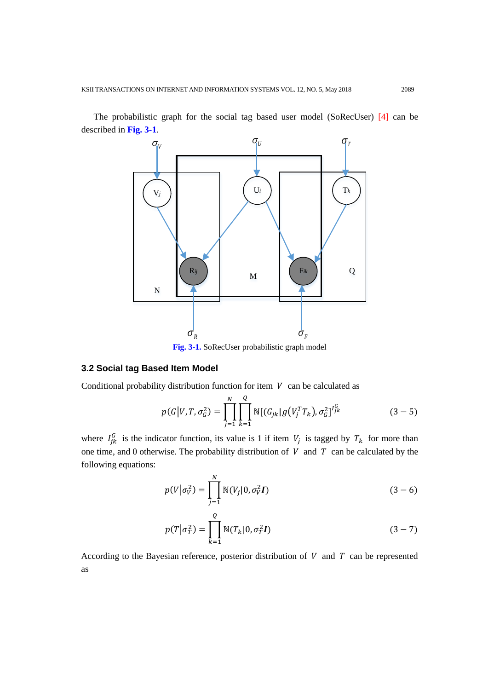

The probabilistic graph for the social tag based user model (SoRecUser) [4] can be described in **Fig. 3-1**.

## **3.2 Social tag Based Item Model**

Conditional probability distribution function for item  $V$  can be calculated as

$$
p(G|V, T, \sigma_G^2) = \prod_{j=1}^N \prod_{k=1}^Q \mathbb{N}[(G_{jk}|g(V_j^T T_k), \sigma_G^2]^{I_{jk}^G} \qquad (3-5)
$$

where  $I_{jk}^G$  is the indicator function, its value is 1 if item  $V_j$  is tagged by  $T_k$  for more than one time, and 0 otherwise. The probability distribution of  $V$  and  $T$  can be calculated by the following equations:

$$
p(V|\sigma_V^2) = \prod_{j=1}^N \mathbb{N}(V_j|0, \sigma_V^2 I)
$$
 (3-6)

$$
p(T|\sigma_T^2) = \prod_{k=1}^Q \mathbb{N}(T_k|0, \sigma_T^2 I)
$$
 (3-7)

According to the Bayesian reference, posterior distribution of  $V$  and  $T$  can be represented as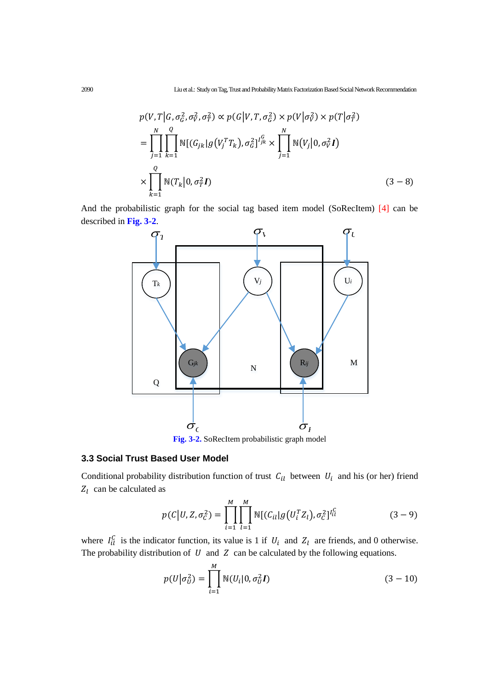$$
p(V, T | G, \sigma_G^2, \sigma_V^2, \sigma_T^2) \propto p(G | V, T, \sigma_G^2) \times p(V | \sigma_V^2) \times p(T | \sigma_T^2)
$$
  
= 
$$
\prod_{j=1}^N \prod_{k=1}^Q \mathbb{N}[(G_{jk} | g(V_j^T T_k), \sigma_G^2]^{I_{jk}^G} \times \prod_{j=1}^N \mathbb{N}(V_j | 0, \sigma_V^2 I)
$$
  

$$
\times \prod_{k=1}^Q \mathbb{N}(T_k | 0, \sigma_T^2 I)
$$
 (3-8)

And the probabilistic graph for the social tag based item model (SoRecItem) [4] can be described in **Fig. 3-2**.



## **3.3 Social Trust Based User Model**

Conditional probability distribution function of trust  $C_{il}$  between  $U_i$  and his (or her) friend  $Z_l$  can be calculated as

$$
p(C|U, Z, \sigma_C^2) = \prod_{i=1}^{M} \prod_{l=1}^{M} \mathbb{N}[(C_{il}|g(U_i^T Z_l), \sigma_C^2]^{U_i^C}]
$$
(3-9)

where  $I_{il}^C$  is the indicator function, its value is 1 if  $U_i$  and  $Z_i$  are friends, and 0 otherwise. The probability distribution of  $U$  and  $Z$  can be calculated by the following equations.

$$
p(U|\sigma_U^2) = \prod_{i=1}^{M} \mathbb{N}(U_i|0, \sigma_U^2 I)
$$
 (3-10)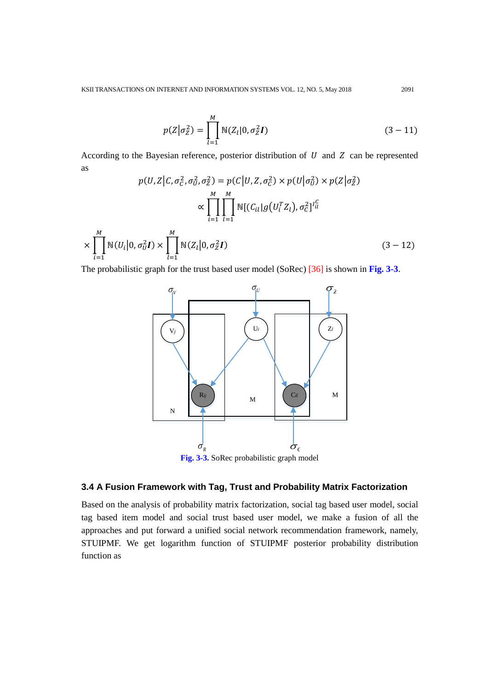$$
p(Z|\sigma_Z^2) = \prod_{l=1}^{M} \mathbb{N}(Z_l|0, \sigma_Z^2 I)
$$
 (3-11)

According to the Bayesian reference, posterior distribution of  $U$  and  $Z$  can be represented as

$$
p(U, Z|C, \sigma_C^2, \sigma_U^2, \sigma_Z^2) = p(C|U, Z, \sigma_C^2) \times p(U|\sigma_U^2) \times p(Z|\sigma_Z^2)
$$

$$
\propto \prod_{i=1}^M \prod_{l=1}^M \mathbb{N}[(C_{il}|g(U_l^T Z_l), \sigma_C^2]^{l_U^C}
$$

$$
\times \prod_{i=1}^M \mathbb{N}(U_i|0, \sigma_U^2 I) \times \prod_{l=1}^M \mathbb{N}(Z_l|0, \sigma_Z^2 I) \qquad (3-12)
$$

The probabilistic graph for the trust based user model (SoRec) [36] is shown in **Fig. 3-3**.



# **3.4 A Fusion Framework with Tag, Trust and Probability Matrix Factorization**

Based on the analysis of probability matrix factorization, social tag based user model, social tag based item model and social trust based user model, we make a fusion of all the approaches and put forward a unified social network recommendation framework, namely, STUIPMF. We get logarithm function of STUIPMF posterior probability distribution function as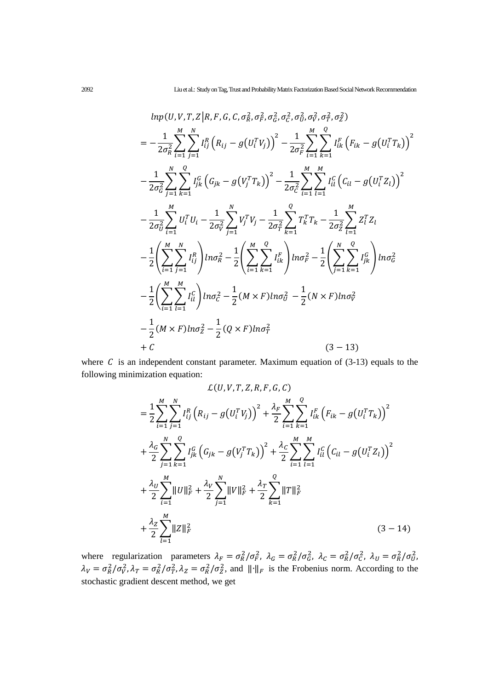$$
ln p(U, V, T, Z | R, F, G, C, \sigma_R^2, \sigma_F^2, \sigma_G^2, \sigma_G^2, \sigma_G^2, \sigma_T^2, \sigma_T^2, \sigma_Z^2)
$$
\n
$$
= -\frac{1}{2\sigma_R^2} \sum_{i=1}^M \sum_{j=1}^N I_{ij}^R (R_{ij} - g(U_i^T V_j))^2 - \frac{1}{2\sigma_F^2} \sum_{i=1}^M \sum_{k=1}^N I_{ik}^F (F_{ik} - g(U_i^T T_k))^2
$$
\n
$$
- \frac{1}{2\sigma_G^2} \sum_{j=1}^N \sum_{k=1}^Q I_{jk}^G (G_{jk} - g(V_j^T T_k))^2 - \frac{1}{2\sigma_C^2} \sum_{i=1}^M \sum_{l=1}^M I_{il}^G (C_{il} - g(U_i^T Z_l))^2
$$
\n
$$
- \frac{1}{2\sigma_U^2} \sum_{i=1}^M U_i^T U_i - \frac{1}{2\sigma_V^2} \sum_{j=1}^N V_j^T V_j - \frac{1}{2\sigma_T^2} \sum_{k=1}^Q T_k^T T_k - \frac{1}{2\sigma_Z^2} \sum_{l=1}^M Z_l^T Z_l
$$
\n
$$
- \frac{1}{2} \left( \sum_{i=1}^M \sum_{j=1}^N I_{ij}^R \right) ln \sigma_R^2 - \frac{1}{2} \left( \sum_{i=1}^M \sum_{k=1}^Q I_{ik}^F \right) ln \sigma_F^2 - \frac{1}{2} \left( \sum_{j=1}^N \sum_{k=1}^Q I_{jk}^G \right) ln \sigma_G^2
$$
\n
$$
- \frac{1}{2} \left( \sum_{i=1}^M \sum_{l=1}^M I_{il}^C \right) ln \sigma_C^2 - \frac{1}{2} (M \times F) ln \sigma_U^2 - \frac{1}{2} (N \times F) ln \sigma_V^2
$$
\n
$$
- \frac{1}{2} (M \times F) ln \sigma_Z^2 - \frac{1}{2} (Q \times F) ln \sigma_T^2
$$
\n
$$
(3 - 13)
$$

where  $C$  is an independent constant parameter. Maximum equation of  $(3-13)$  equals to the following minimization equation:

$$
\mathcal{L}(U, V, T, Z, R, F, G, C)
$$
\n
$$
= \frac{1}{2} \sum_{i=1}^{M} \sum_{j=1}^{N} I_{ij}^{R} (R_{ij} - g(U_{i}^{T}V_{j}))^{2} + \frac{\lambda_{F}}{2} \sum_{i=1}^{M} \sum_{k=1}^{Q} I_{ik}^{F} (F_{ik} - g(U_{i}^{T}T_{k}))^{2}
$$
\n
$$
+ \frac{\lambda_{G}}{2} \sum_{j=1}^{N} \sum_{k=1}^{Q} I_{jk}^{G} (G_{jk} - g(V_{j}^{T}T_{k}))^{2} + \frac{\lambda_{C}}{2} \sum_{i=1}^{M} \sum_{l=1}^{M} I_{il}^{G} (C_{il} - g(U_{i}^{T}Z_{l}))^{2}
$$
\n
$$
+ \frac{\lambda_{U}}{2} \sum_{i=1}^{M} ||U||_{F}^{2} + \frac{\lambda_{V}}{2} \sum_{j=1}^{N} ||V||_{F}^{2} + \frac{\lambda_{T}}{2} \sum_{k=1}^{Q} ||T||_{F}^{2}
$$
\n
$$
+ \frac{\lambda_{Z}}{2} \sum_{l=1}^{M} ||Z||_{F}^{2}
$$
\n
$$
(3-14)
$$

where regularization parameters  $\lambda_F = \sigma_R^2/\sigma_F^2$ ,  $\lambda_G = \sigma_R^2/\sigma_G^2$ ,  $\lambda_C = \sigma_R^2/\sigma_C^2$ ,  $\lambda_U = \sigma_R^2/\sigma_U^2$ ,  $\lambda_V = \sigma_R^2/\sigma_V^2$ ,  $\lambda_T = \sigma_R^2/\sigma_T^2$ ,  $\lambda_Z = \sigma_R^2/\sigma_Z^2$ , and  $\|\cdot\|_F$  is the Frobenius norm. According to the stochastic gradient descent method, we get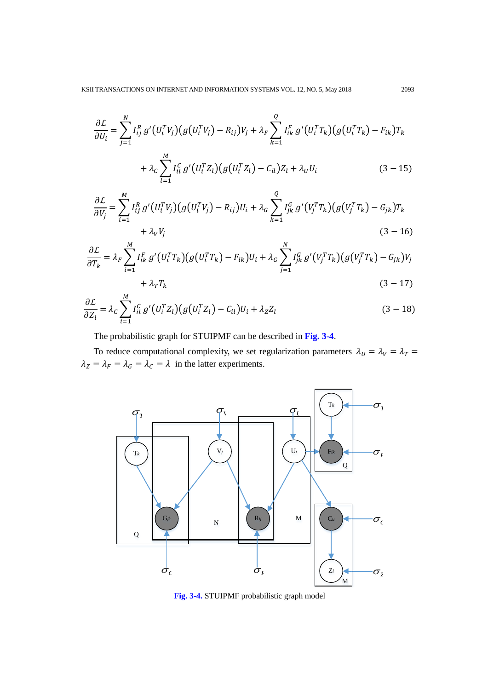$$
\frac{\partial \mathcal{L}}{\partial U_i} = \sum_{j=1}^N I_{ij}^R g'(U_i^T V_j) \big( g(U_i^T V_j) - R_{ij} \big) V_j + \lambda_F \sum_{k=1}^Q I_{ik}^F g'(U_i^T T_k) \big( g(U_i^T T_k) - F_{ik} \big) T_k
$$

$$
+ \lambda_C \sum_{l=1}^M I_{il}^C g'(U_i^T Z_l) \big( g(U_i^T Z_l) - C_{il} \big) Z_l + \lambda_U U_i \tag{3-15}
$$

$$
\frac{\partial \mathcal{L}}{\partial V_j} = \sum_{i=1}^{M} I_{ij}^R g'(U_i^T V_j) \big( g(U_i^T V_j) - R_{ij} \big) U_i + \lambda_G \sum_{k=1}^{Q} I_{jk}^G g'(V_j^T T_k) \big( g(V_j^T T_k) - G_{jk} \big) T_k + \lambda_V V_j \tag{3-16}
$$

$$
\frac{\partial \mathcal{L}}{\partial T_k} = \lambda_F \sum_{i=1}^M I_{ik}^F g'(U_i^T T_k) \big( g(U_i^T T_k) - F_{ik} \big) U_i + \lambda_G \sum_{j=1}^N I_{jk}^G g'(V_j^T T_k) \big( g(V_j^T T_k) - G_{jk} \big) V_j + \lambda_T T_k \tag{3-17}
$$

$$
\frac{\partial \mathcal{L}}{\partial Z_l} = \lambda_c \sum_{i=1}^M I_{il}^C g'(U_i^T Z_l) \big(g(U_i^T Z_l) - C_{il}\big) U_i + \lambda_z Z_l \tag{3-18}
$$

The probabilistic graph for STUIPMF can be described in Fig. 3-4.

To reduce computational complexity, we set regularization parameters  $\lambda_U = \lambda_V = \lambda_T =$  $\lambda_Z = \lambda_F = \lambda_G = \lambda_C = \lambda$  in the latter experiments.



Fig. 3-4. STUIPMF probabilistic graph model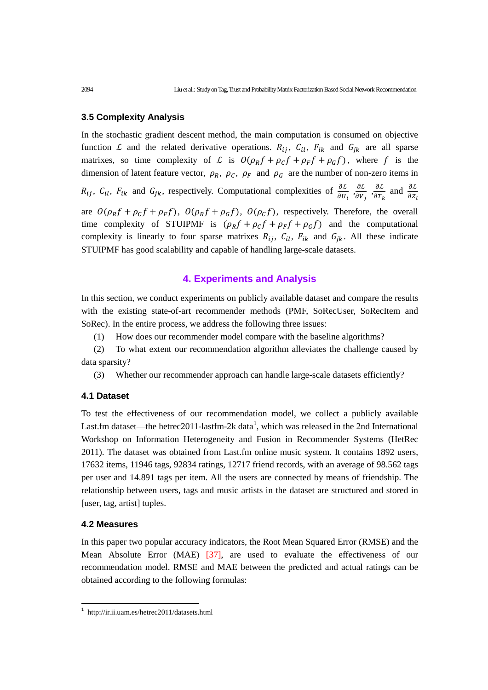## **3.5 Complexity Analysis**

In the stochastic gradient descent method, the main computation is consumed on objective function L and the related derivative operations.  $R_{ij}$ ,  $C_{il}$ ,  $F_{ik}$  and  $G_{jk}$  are all sparse matrixes, so time complexity of L is  $O(\rho_R f + \rho_C f + \rho_F f + \rho_G f)$ , where f is the dimension of latent feature vector,  $\rho_R$ ,  $\rho_C$ ,  $\rho_F$  and  $\rho_G$  are the number of non-zero items in  $R_{ij}$ ,  $C_{il}$ ,  $F_{ik}$  and  $G_{jk}$ , respectively. Computational complexities of  $\frac{\partial L}{\partial U_i}$ ,  $\frac{\partial L}{\partial V_j}$ ,  $\frac{\partial L}{\partial T_i}$  $rac{\partial L}{\partial T_k}$  and  $rac{\partial L}{\partial Z}$ are  $O(\rho_R f + \rho_C f + \rho_F f)$ ,  $O(\rho_R f + \rho_G f)$ ,  $O(\rho_C f)$ , respectively. Therefore, the overall time complexity of STUIPMF is  $(\rho_R f + \rho_C f + \rho_F f + \rho_G f)$  and the computational complexity is linearly to four sparse matrixes  $R_{ij}$ ,  $C_{il}$ ,  $F_{ik}$  and  $G_{jk}$ . All these indicate STUIPMF has good scalability and capable of handling large-scale datasets.

## **4. Experiments and Analysis**

In this section, we conduct experiments on publicly available dataset and compare the results with the existing state-of-art recommender methods (PMF, SoRecUser, SoRecItem and SoRec). In the entire process, we address the following three issues:

(1) How does our recommender model compare with the baseline algorithms?

(2) To what extent our recommendation algorithm alleviates the challenge caused by data sparsity?

(3) Whether our recommender approach can handle large-scale datasets efficiently?

#### **4.1 Dataset**

To test the effectiveness of our recommendation model, we collect a publicly available Last.fm dataset—the hetrec20[1](#page-12-0)1-lastfm-2k data<sup>1</sup>, which was released in the 2nd International Workshop on Information Heterogeneity and Fusion in Recommender Systems (HetRec 2011). The dataset was obtained from Last.fm online music system. It contains 1892 users, 17632 items, 11946 tags, 92834 ratings, 12717 friend records, with an average of 98.562 tags per user and 14.891 tags per item. All the users are connected by means of friendship. The relationship between users, tags and music artists in the dataset are structured and stored in [user, tag, artist] tuples.

#### **4.2 Measures**

l

In this paper two popular accuracy indicators, the Root Mean Squared Error (RMSE) and the Mean Absolute Error (MAE) [37], are used to evaluate the effectiveness of our recommendation model. RMSE and MAE between the predicted and actual ratings can be obtained according to the following formulas:

<span id="page-12-0"></span><sup>1</sup> http://ir.ii.uam.es/hetrec2011/datasets.html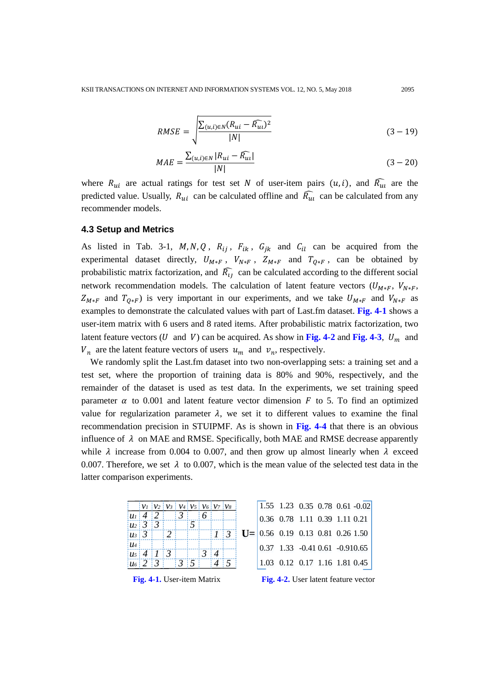$$
RMSE = \sqrt{\frac{\sum_{(u,i)\in N} (R_{ui} - \widehat{R_{ui}})^2}{|N|}}
$$
(3-19)

$$
MAE = \frac{\sum_{(u,i)\in N} |R_{ui} - \widehat{R_{u1}}|}{|N|}
$$
(3-20)

where  $R_{ui}$  are actual ratings for test set N of user-item pairs  $(u, i)$ , and  $\widehat{R_{ui}}$  are the predicted value. Usually,  $R_{ui}$  can be calculated offline and  $\widehat{R_{ui}}$  can be calculated from any recommender models.

## **4.3 Setup and Metrics**

As listed in Tab. 3-1,  $M, N, Q, R_{ij}, F_{ik}, G_{ik}$  and  $C_{il}$  can be acquired from the experimental dataset directly,  $U_{M*F}$ ,  $V_{N*F}$ ,  $Z_{M*F}$  and  $T_{Q*F}$ , can be obtained by probabilistic matrix factorization, and  $\overline{R}_{ij}$  can be calculated according to the different social network recommendation models. The calculation of latent feature vectors  $(U_{M*F}, V_{N*F},$  $Z_{M*F}$  and  $T_{Q*F}$ ) is very important in our experiments, and we take  $U_{M*F}$  and  $V_{N*F}$  as examples to demonstrate the calculated values with part of Last.fm dataset. **Fig. 4-1** shows a user-item matrix with 6 users and 8 rated items. After probabilistic matrix factorization, two latent feature vectors (U and V) can be acquired. As show in Fig. 4-2 and Fig. 4-3,  $U_m$  and  $V_n$  are the latent feature vectors of users  $u_m$  and  $v_n$ , respectively.

We randomly split the Last.fm dataset into two non-overlapping sets: a training set and a test set, where the proportion of training data is 80% and 90%, respectively, and the remainder of the dataset is used as test data. In the experiments, we set training speed parameter  $\alpha$  to 0.001 and latent feature vector dimension F to 5. To find an optimized value for regularization parameter  $\lambda$ , we set it to different values to examine the final recommendation precision in STUIPMF. As is shown in **Fig. 4-4** that there is an obvious influence of  $\lambda$  on MAE and RMSE. Specifically, both MAE and RMSE decrease apparently while  $\lambda$  increase from 0.004 to 0.007, and then grow up almost linearly when  $\lambda$  exceed 0.007. Therefore, we set  $\lambda$  to 0.007, which is the mean value of the selected test data in the latter comparison experiments.

|                            |                                       |               | $ V_1 V_2 V_3 V_4 V_5 V_6 V_7 V_8$ |      |  |                             |     |  |  |  |  | 1.55 1.23 0.35 0.78 0.61 -0.02       |  |
|----------------------------|---------------------------------------|---------------|------------------------------------|------|--|-----------------------------|-----|--|--|--|--|--------------------------------------|--|
|                            | $ u_1 $ 4   2                         |               |                                    |      |  |                             |     |  |  |  |  | $0.36$ 0.78 1.11 0.39 1.11 0.21      |  |
|                            |                                       | $ u_2 $ 3   3 |                                    |      |  |                             |     |  |  |  |  |                                      |  |
| $ u_3 $ 3                  |                                       |               |                                    |      |  |                             | 113 |  |  |  |  | $U = 0.56$ 0.19 0.13 0.81 0.26 1.50  |  |
| $u_4$                      |                                       |               |                                    |      |  |                             |     |  |  |  |  | $0.37$ 1.33 $-0.41$ 0.61 $-0.910.65$ |  |
|                            |                                       |               | $ u_5 $ 4   1   3                  |      |  | $\frac{1}{3}$ $\frac{1}{4}$ |     |  |  |  |  |                                      |  |
|                            |                                       | $ u_6 $ 2   3 |                                    | 13:5 |  |                             |     |  |  |  |  | 1.03 0.12 0.17 1.16 1.81 0.45        |  |
|                            | Fig. 4-2. User latent feature vectors |               |                                    |      |  |                             |     |  |  |  |  |                                      |  |
| Fig. 4-1. User-item Matrix |                                       |               |                                    |      |  |                             |     |  |  |  |  |                                      |  |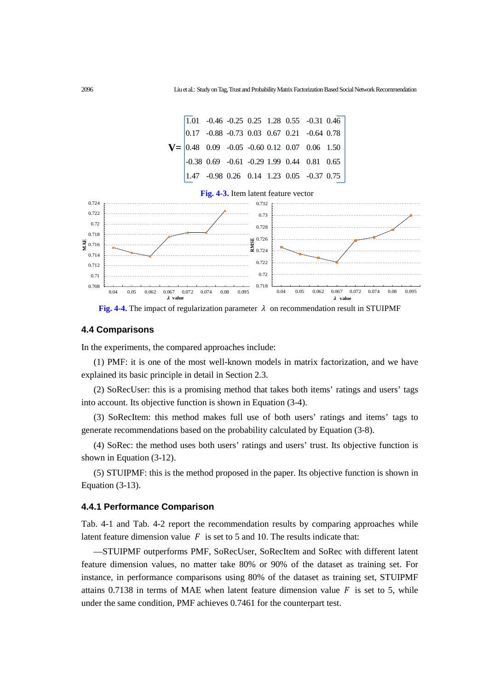

**Fig. 4-4.** The impact of regularization parameter  $\lambda$  on recommendation result in STUIPMF

#### **4.4 Comparisons**

In the experiments, the compared approaches include:

(1) PMF: it is one of the most well-known models in matrix factorization, and we have explained its basic principle in detail in Section 2.3.

(2) SoRecUser: this is a promising method that takes both items' ratings and users' tags into account. Its objective function is shown in Equation (3-4).

(3) SoRecItem: this method makes full use of both users' ratings and items' tags to generate recommendations based on the probability calculated by Equation (3-8).

(4) SoRec: the method uses both users' ratings and users' trust. Its objective function is shown in Equation (3-12).

(5) STUIPMF: this is the method proposed in the paper. Its objective function is shown in Equation (3-13).

#### **4.4.1 Performance Comparison**

Tab. 4-1 and Tab. 4-2 report the recommendation results by comparing approaches while latent feature dimension value  $F$  is set to 5 and 10. The results indicate that:

—STUIPMF outperforms PMF, SoRecUser, SoRecItem and SoRec with different latent feature dimension values, no matter take 80% or 90% of the dataset as training set. For instance, in performance comparisons using 80% of the dataset as training set, STUIPMF attains 0.7138 in terms of MAE when latent feature dimension value  $F$  is set to 5, while under the same condition, PMF achieves 0.7461 for the counterpart test.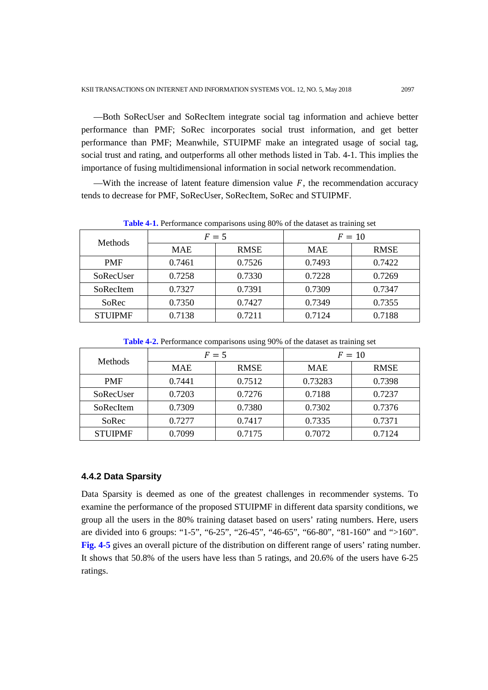—Both SoRecUser and SoRecItem integrate social tag information and achieve better performance than PMF; SoRec incorporates social trust information, and get better performance than PMF; Meanwhile, STUIPMF make an integrated usage of social tag, social trust and rating, and outperforms all other methods listed in Tab. 4-1. This implies the importance of fusing multidimensional information in social network recommendation.

—With the increase of latent feature dimension value  $F$ , the recommendation accuracy tends to decrease for PMF, SoRecUser, SoRecItem, SoRec and STUIPMF.

|                |            | $F=5$       | $F=10$     |             |  |
|----------------|------------|-------------|------------|-------------|--|
| Methods        | <b>MAE</b> | <b>RMSE</b> | <b>MAE</b> | <b>RMSE</b> |  |
| <b>PMF</b>     | 0.7461     | 0.7526      | 0.7493     | 0.7422      |  |
| SoRecUser      | 0.7258     | 0.7330      | 0.7228     | 0.7269      |  |
| SoRecItem      | 0.7327     | 0.7391      | 0.7309     | 0.7347      |  |
| SoRec          | 0.7350     | 0.7427      | 0.7349     | 0.7355      |  |
| <b>STUIPMF</b> | 0.7138     | 0.7211      | 0.7124     | 0.7188      |  |

**Table 4-1.** Performance comparisons using 80% of the dataset as training set

|  | <b>Table 4-2.</b> Performance comparisons using 90% of the dataset as training set |  |  |  |
|--|------------------------------------------------------------------------------------|--|--|--|
|  |                                                                                    |  |  |  |

| <b>Methods</b> |            | $F=5$       | $F=10$     |             |  |
|----------------|------------|-------------|------------|-------------|--|
|                | <b>MAE</b> | <b>RMSE</b> | <b>MAE</b> | <b>RMSE</b> |  |
| <b>PMF</b>     | 0.7441     | 0.7512      | 0.73283    | 0.7398      |  |
| SoRecUser      | 0.7203     | 0.7276      | 0.7188     | 0.7237      |  |
| SoRecItem      | 0.7309     | 0.7380      | 0.7302     | 0.7376      |  |
| SoRec          | 0.7277     | 0.7417      | 0.7335     | 0.7371      |  |
| <b>STUIPME</b> | 0.7099     | 0.7175      | 0.7072     | 0.7124      |  |

#### **4.4.2 Data Sparsity**

Data Sparsity is deemed as one of the greatest challenges in recommender systems. To examine the performance of the proposed STUIPMF in different data sparsity conditions, we group all the users in the 80% training dataset based on users' rating numbers. Here, users are divided into 6 groups: "1-5", "6-25", "26-45", "46-65", "66-80", "81-160" and ">160". **Fig. 4-5** gives an overall picture of the distribution on different range of users' rating number. It shows that 50.8% of the users have less than 5 ratings, and 20.6% of the users have 6-25 ratings.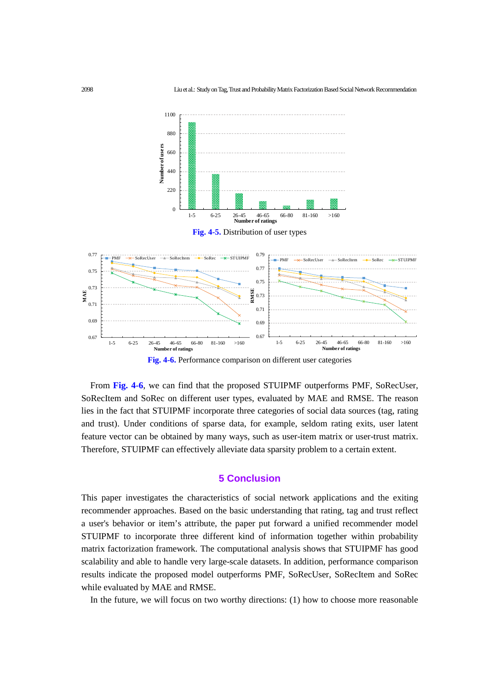

**Fig. 4-6.** Performance comparison on different user categories

From **Fig. 4-6**, we can find that the proposed STUIPMF outperforms PMF, SoRecUser, SoRecItem and SoRec on different user types, evaluated by MAE and RMSE. The reason lies in the fact that STUIPMF incorporate three categories of social data sources (tag, rating and trust). Under conditions of sparse data, for example, seldom rating exits, user latent feature vector can be obtained by many ways, such as user-item matrix or user-trust matrix. Therefore, STUIPMF can effectively alleviate data sparsity problem to a certain extent.

## **5 Conclusion**

This paper investigates the characteristics of social network applications and the exiting recommender approaches. Based on the basic understanding that rating, tag and trust reflect a user's behavior or item's attribute, the paper put forward a unified recommender model STUIPMF to incorporate three different kind of information together within probability matrix factorization framework. The computational analysis shows that STUIPMF has good scalability and able to handle very large-scale datasets. In addition, performance comparison results indicate the proposed model outperforms PMF, SoRecUser, SoRecItem and SoRec while evaluated by MAE and RMSE.

In the future, we will focus on two worthy directions: (1) how to choose more reasonable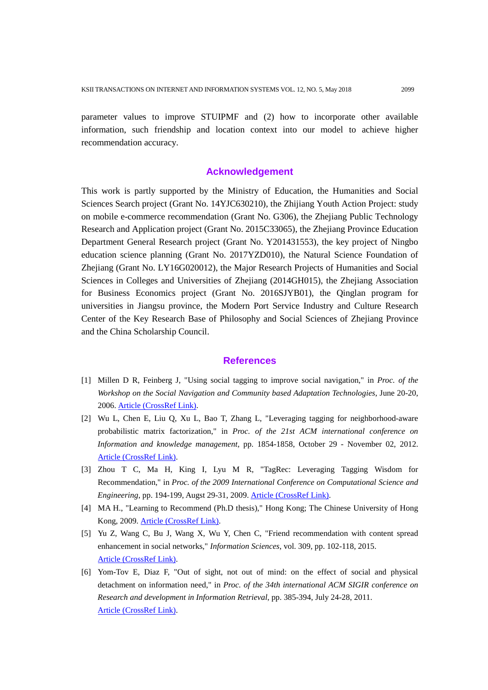parameter values to improve STUIPMF and (2) how to incorporate other available information, such friendship and location context into our model to achieve higher recommendation accuracy.

## **Acknowledgement**

This work is partly supported by the Ministry of Education, the Humanities and Social Sciences Search project (Grant No. 14YJC630210), the Zhijiang Youth Action Project: study on mobile e-commerce recommendation (Grant No. G306), the Zhejiang Public Technology Research and Application project (Grant No. 2015C33065), the Zhejiang Province Education Department General Research project (Grant No. Y201431553), the key project of Ningbo education science planning (Grant No. 2017YZD010), the Natural Science Foundation of Zhejiang (Grant No. LY16G020012), the Major Research Projects of Humanities and Social Sciences in Colleges and Universities of Zhejiang (2014GH015), the Zhejiang Association for Business Economics project (Grant No. 2016SJYB01), the Qinglan program for universities in Jiangsu province, the Modern Port Service Industry and Culture Research Center of the Key Research Base of Philosophy and Social Sciences of Zhejiang Province and the China Scholarship Council.

#### **References**

- [1] Millen D R, Feinberg J, "Using social tagging to improve social navigation," in *Proc. of the Workshop on the Social Navigation and Community based Adaptation Technologies*, June 20-20, 2006. [Article \(CrossRef Link\)](https://s3.amazonaws.com/academia.edu.documents/30702942/millen_feinberg_2006.pdf?AWSAccessKeyId=AKIAIWOWYYGZ2Y53UL3A&Expires=1510287474&Signature=K2ILQfO%2BFl4PepEZhzyNNvViWa0%3D&response-content-disposition=inline%3B%20filename%3DUsing_social_tagging_to_improve_social_n.pdf).
- [2] Wu L, Chen E, Liu Q, Xu L, Bao T, Zhang L, "Leveraging tagging for neighborhood-aware probabilistic matrix factorization," in *Proc. of the 21st ACM international conference on Information and knowledge management*, pp. 1854-1858, October 29 - November 02, 2012. [Article \(CrossRef Link\).](http://dx.doi.org/doi:10.1145/2396761.2398531)
- [3] Zhou T C, Ma H, King I, Lyu M R, "TagRec: Leveraging Tagging Wisdom for Recommendation," in *Proc. of the 2009 International Conference on Computational Science and Engineering*, pp. 194-199, Augst 29-31, 2009. [Article \(CrossRef Link\).](http://dx.doi.org/doi:10.1109/CSE.2009.75)
- [4] MA H., "Learning to Recommend (Ph.D thesis)," Hong Kong; The Chinese University of Hong Kong, 2009. [Article \(CrossRef Link\).](http://www.cse.cuhk.edu.hk/%7Eking/PUB/thesis_hma.pdf)
- [5] Yu Z, Wang C, Bu J, Wang X, Wu Y, Chen C, "Friend recommendation with content spread enhancement in social networks," *Information Sciences*, vol. 309, pp. 102-118, 2015. [Article \(CrossRef Link\).](http://dx.doi.org/doi:10.1016/j.ins.2015.03.012)
- [6] Yom-Tov E, Diaz F, "Out of sight, not out of mind: on the effect of social and physical detachment on information need," in *Proc. of the 34th international ACM SIGIR conference on Research and development in Information Retrieval*, pp. 385-394, July 24-28, 2011. [Article \(CrossRef Link\).](http://dx.doi.org/doi:10.1145/2009916.2009970)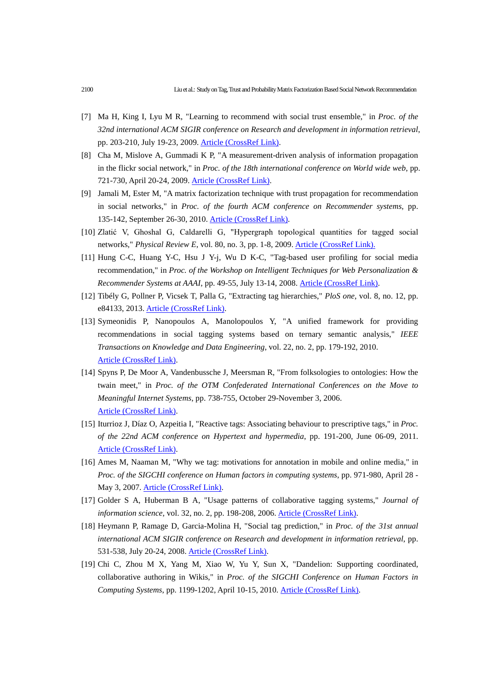- [7] Ma H, King I, Lyu M R, "Learning to recommend with social trust ensemble," in *Proc. of the 32nd international ACM SIGIR conference on Research and development in information retrieval*, pp. 203-210, July 19-23, 2009. [Article \(CrossRef Link\).](http://dx.doi.org/doi:10.1145/1571941.1571978)
- [8] Cha M, Mislove A, Gummadi K P, "A measurement-driven analysis of information propagation in the flickr social network," in *Proc. of the 18th international conference on World wide web*, pp. 721-730, April 20-24, 2009. [Article \(CrossRef Link\).](http://dx.doi.org/doi:10.1145/1526709.1526806)
- [9] Jamali M, Ester M, "A matrix factorization technique with trust propagation for recommendation in social networks," in *Proc. of the fourth ACM conference on Recommender systems*, pp. 135-142, September 26-30, 2010. [Article \(CrossRef Link\).](http://dx.doi.org/doi:10.1145/1864708.1864736)
- [10] Zlatić V, Ghoshal G, Caldarelli G, "Hypergraph topological quantities for tagged social networks," *Physical Review E*, vol. 80, no. 3, pp. 1-8, 2009. [Article \(CrossRef Link\).](http://dx.doi.org/doi:10.1103/PhysRevE.80.036118)
- [11] Hung C-C, Huang Y-C, Hsu J Y-j, Wu D K-C, "Tag-based user profiling for social media recommendation," in *Proc. of the Workshop on Intelligent Techniques for Web Personalization & Recommender Systems at AAAI*, pp. 49-55, July 13-14, 2008. [Article \(CrossRef Link\).](https://vvvvw.aaai.org/Papers/Workshops/2008/WS-08-06/WS08-06-006.pdf)
- [12] Tibély G, Pollner P, Vicsek T, Palla G, "Extracting tag hierarchies," *PloS one*, vol. 8, no. 12, pp. e84133, 2013. [Article \(CrossRef Link\).](http://dx.doi.org/doi:10.1371/journal.pone.0084133)
- [13] Symeonidis P, Nanopoulos A, Manolopoulos Y, "A unified framework for providing recommendations in social tagging systems based on ternary semantic analysis," *IEEE Transactions on Knowledge and Data Engineering*, vol. 22, no. 2, pp. 179-192, 2010. [Article \(CrossRef Link\).](http://dx.doi.org/doi:10.1109/TKDE.2009.85)
- [14] Spyns P, De Moor A, Vandenbussche J, Meersman R, "From folksologies to ontologies: How the twain meet," in *Proc. of the OTM Confederated International Conferences on the Move to Meaningful Internet Systems*, pp. 738-755, October 29-November 3, 2006. [Article \(CrossRef Link\).](http://dx.doi.org/doi:10.1007/11914853_45)
- [15] Iturrioz J, Díaz O, Azpeitia I, "Reactive tags: Associating behaviour to prescriptive tags," in *Proc. of the 22nd ACM conference on Hypertext and hypermedia*, pp. 191-200, June 06-09, 2011. [Article \(CrossRef Link\).](http://dx.doi.org/doi:10.1145/1995966.1995993)
- [16] Ames M, Naaman M, "Why we tag: motivations for annotation in mobile and online media," in *Proc. of the SIGCHI conference on Human factors in computing systems*, pp. 971-980, April 28 - May 3, 2007. [Article \(CrossRef Link\).](http://dx.doi.org/doi:10.1145/1240624.1240772)
- [17] Golder S A, Huberman B A, "Usage patterns of collaborative tagging systems," *Journal of information science*, vol. 32, no. 2, pp. 198-208, 2006. [Article \(CrossRef Link\).](http://dx.doi.org/doi:10.1177/0165551506062337)
- [18] Heymann P, Ramage D, Garcia-Molina H, "Social tag prediction," in *Proc. of the 31st annual international ACM SIGIR conference on Research and development in information retrieval*, pp. 531-538, July 20-24, 2008. [Article \(CrossRef Link\).](http://dx.doi.org/doi:10.1145/1390334.1390425)
- [19] Chi C, Zhou M X, Yang M, Xiao W, Yu Y, Sun X, "Dandelion: Supporting coordinated, collaborative authoring in Wikis," in *Proc. of the SIGCHI Conference on Human Factors in Computing Systems*, pp. 1199-1202, April 10-15, 2010. [Article \(CrossRef Link\).](http://dx.doi.org/doi:10.1145/1753326.1753505)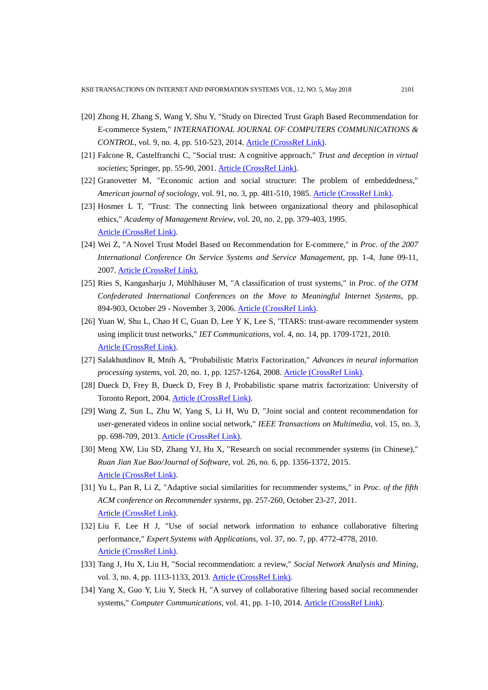- [20] Zhong H, Zhang S, Wang Y, Shu Y, "Study on Directed Trust Graph Based Recommendation for E-commerce System," *INTERNATIONAL JOURNAL OF COMPUTERS COMMUNICATIONS & CONTROL*, vol. 9, no. 4, pp. 510-523, 2014. [Article \(CrossRef Link\).](http://dx.doi.org/doi:10.15837/ijccc.2014.4.228)
- [21] Falcone R, Castelfranchi C, "Social trust: A cognitive approach," *Trust and deception in virtual societies*; Springer, pp. 55-90, 2001. [Article \(CrossRef Link\).](http://dx.doi.org/doi:10.1007/978-94-017-3614-5_3)
- [22] Granovetter M, "Economic action and social structure: The problem of embeddedness," *American journal of sociology*, vol. 91, no. 3, pp. 481-510, 1985. [Article \(CrossRef Link\).](http://dx.doi.org/doi:10.1086/228311)
- [23] Hosmer L T, "Trust: The connecting link between organizational theory and philosophical ethics," *Academy of Management Review*, vol. 20, no. 2, pp. 379-403, 1995. [Article \(CrossRef Link\).](http://portal.psychology.uoguelph.ca/faculty/gill/7140/WEEK_4_Jan.30/Hosmer_AMR1995.pdf)
- [24] Wei Z, "A Novel Trust Model Based on Recommendation for E-commere," in *Proc. of the 2007 International Conference On Service Systems and Service Management*, pp. 1-4, June 09-11, 2007. [Article \(CrossRef Link\).](http://dx.doi.org/doi:10.1109/ICSSSM.2007.4280307)
- [25] Ries S, Kangasharju J, Mühlhäuser M, "A classification of trust systems," in *Proc. of the OTM Confederated International Conferences on the Move to Meaningful Internet Systems*, pp. 894-903, October 29 - November 3, 2006. [Article \(CrossRef Link\).](https://pdfs.semanticscholar.org/e536/5a1c8131a83093fea642c4055d1f16438788.pdf)
- [26] Yuan W, Shu L, Chao H C, Guan D, Lee Y K, Lee S, "ITARS: trust-aware recommender system using implicit trust networks," *IET Communications*, vol. 4, no. 14, pp. 1709-1721, 2010. [Article \(CrossRef Link\).](http://dx.doi.org/doi:10.1049/iet-com.2009.0733)
- [27] Salakhutdinov R, Mnih A, "Probabilistic Matrix Factorization," *Advances in neural information processing systems*, vol. 20, no. 1, pp. 1257-1264, 2008. [Article \(CrossRef Link\).](http://papers.nips.cc/paper/3208-probabilistic-matrix-factorization.pdf)
- [28] Dueck D, Frey B, Dueck D, Frey B J, Probabilistic sparse matrix factorization: University of Toronto Report, 2004. [Article \(CrossRef Link\).](http://www.psi.toronto.edu/%7Epsi/pubs/2004/PSI-TR-2004-23.pdf)
- [29] Wang Z, Sun L, Zhu W, Yang S, Li H, Wu D, "Joint social and content recommendation for user-generated videos in online social network," *IEEE Transactions on Multimedia*, vol. 15, no. 3, pp. 698-709, 2013. [Article \(CrossRef Link\).](http://dx.doi.org/doi:10.1109/TMM.2012.2237022)
- [30] Meng XW, Liu SD, Zhang YJ, Hu X, "Research on social recommender systems (in Chinese)," *Ruan Jian Xue Bao/Journal of Software*, vol. 26, no. 6, pp. 1356-1372, 2015. [Article \(CrossRef Link\).](http://dx.doi.org/doi:10.13328/j.cnki.jos.004831)
- [31] Yu L, Pan R, Li Z, "Adaptive social similarities for recommender systems," in *Proc. of the fifth ACM conference on Recommender systems*, pp. 257-260, October 23-27, 2011. [Article \(CrossRef Link\).](http://dx.doi.org/doi:10.1145/2043932.2043978)
- [32] Liu F, Lee H J, "Use of social network information to enhance collaborative filtering performance," *Expert Systems with Applications*, vol. 37, no. 7, pp. 4772-4778, 2010. [Article \(CrossRef Link\).](http://dx.doi.org/doi:10.1016/j.eswa.2009.12.061)
- [33] Tang J, Hu X, Liu H, "Social recommendation: a review," *Social Network Analysis and Mining*, vol. 3, no. 4, pp. 1113-1133, 2013. [Article \(CrossRef Link\).](http://dx.doi.org/doi:10.1007/s13278-013-0141-9)
- [34] Yang X, Guo Y, Liu Y, Steck H, "A survey of collaborative filtering based social recommender systems," *Computer Communications*, vol. 41, pp. 1-10, 2014. [Article \(CrossRef Link\).](http://dx.doi.org/doi:10.1016/j.comcom.2013.06.009)